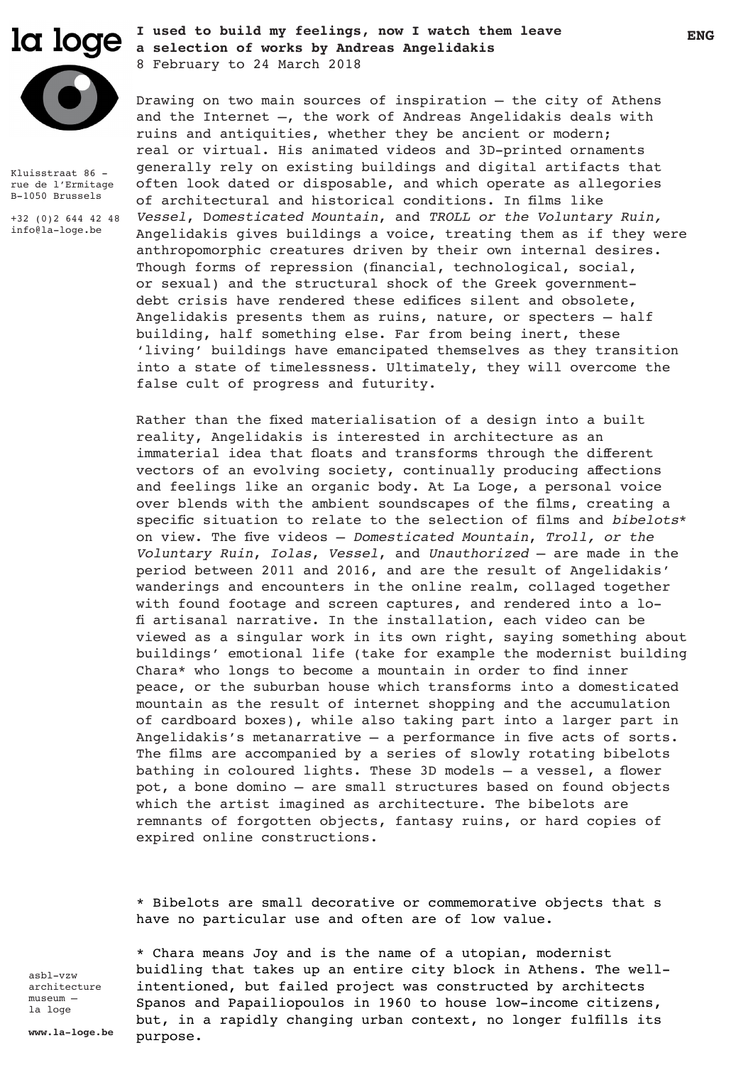

Kluisstraat 86 rue de l'Ermitage B-1050 Brussels +32 (0)2 644 42 48 info@la-loge.be

**ENG I used to build my feelings, now I watch them leave a selection of works by Andreas Angelidakis** 8 February to 24 March 2018

Drawing on two main sources of inspiration – the city of Athens and the Internet  $-$ , the work of Andreas Angelidakis deals with ruins and antiquities, whether they be ancient or modern; real or virtual. His animated videos and 3D-printed ornaments generally rely on existing buildings and digital artifacts that often look dated or disposable, and which operate as allegories of architectural and historical conditions. In films like *Vessel*, D*omesticated Mountain*, and *TROLL or the Voluntary Ruin,*  Angelidakis gives buildings a voice, treating them as if they were anthropomorphic creatures driven by their own internal desires. Though forms of repression (financial, technological, social, or sexual) and the structural shock of the Greek governmentdebt crisis have rendered these edifices silent and obsolete, Angelidakis presents them as ruins, nature, or specters – half building, half something else. Far from being inert, these 'living' buildings have emancipated themselves as they transition into a state of timelessness. Ultimately, they will overcome the false cult of progress and futurity.

Rather than the fixed materialisation of a design into a built reality, Angelidakis is interested in architecture as an immaterial idea that floats and transforms through the different vectors of an evolving society, continually producing affections and feelings like an organic body. At La Loge, a personal voice over blends with the ambient soundscapes of the films, creating a specific situation to relate to the selection of films and *bibelots*\* on view. The five videos – *Domesticated Mountain*, *Troll, or the Voluntary Ruin*, *Iolas*, *Vessel*, and *Unauthorized* – are made in the period between 2011 and 2016, and are the result of Angelidakis' wanderings and encounters in the online realm, collaged together with found footage and screen captures, and rendered into a lofi artisanal narrative. In the installation, each video can be viewed as a singular work in its own right, saying something about buildings' emotional life (take for example the modernist building Chara\* who longs to become a mountain in order to find inner peace, or the suburban house which transforms into a domesticated mountain as the result of internet shopping and the accumulation of cardboard boxes), while also taking part into a larger part in Angelidakis's metanarrative – a performance in five acts of sorts. The films are accompanied by a series of slowly rotating bibelots bathing in coloured lights. These 3D models – a vessel, a flower pot, a bone domino – are small structures based on found objects which the artist imagined as architecture. The bibelots are remnants of forgotten objects, fantasy ruins, or hard copies of expired online constructions.

\* Bibelots are small decorative or commemorative objects that s have no particular use and often are of low value.

asbl-vzw architecture museum – la loge

\* Chara means Joy and is the name of a utopian, modernist buidling that takes up an entire city block in Athens. The wellintentioned, but failed project was constructed by architects Spanos and Papailiopoulos in 1960 to house low-income citizens, but, in a rapidly changing urban context, no longer fulfills its purpose.

**www.la-loge.be**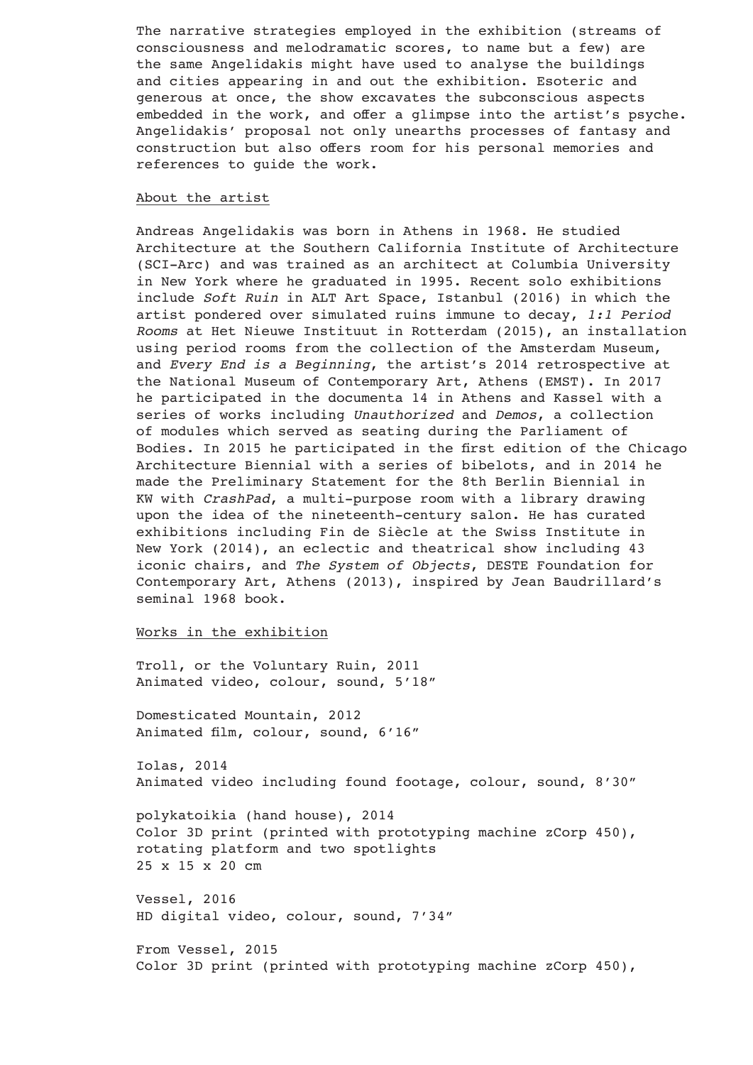The narrative strategies employed in the exhibition (streams of consciousness and melodramatic scores, to name but a few) are the same Angelidakis might have used to analyse the buildings and cities appearing in and out the exhibition. Esoteric and generous at once, the show excavates the subconscious aspects embedded in the work, and offer a glimpse into the artist's psyche. Angelidakis' proposal not only unearths processes of fantasy and construction but also offers room for his personal memories and references to guide the work.

#### About the artist

Andreas Angelidakis was born in Athens in 1968. He studied Architecture at the Southern California Institute of Architecture (SCI-Arc) and was trained as an architect at Columbia University in New York where he graduated in 1995. Recent solo exhibitions include *Soft Ruin* in ALT Art Space, Istanbul (2016) in which the artist pondered over simulated ruins immune to decay, *1:1 Period Rooms* at Het Nieuwe Instituut in Rotterdam (2015), an installation using period rooms from the collection of the Amsterdam Museum, and *Every End is a Beginning*, the artist's 2014 retrospective at the National Museum of Contemporary Art, Athens (EMST). In 2017 he participated in the documenta 14 in Athens and Kassel with a series of works including *Unauthorized* and *Demos*, a collection of modules which served as seating during the Parliament of Bodies. In 2015 he participated in the first edition of the Chicago Architecture Biennial with a series of bibelots, and in 2014 he made the Preliminary Statement for the 8th Berlin Biennial in KW with *CrashPad*, a multi-purpose room with a library drawing upon the idea of the nineteenth-century salon. He has curated exhibitions including Fin de Siècle at the Swiss Institute in New York (2014), an eclectic and theatrical show including 43 iconic chairs, and *The System of Objects*, DESTE Foundation for Contemporary Art, Athens (2013), inspired by Jean Baudrillard's seminal 1968 book.

## Works in the exhibition

Troll, or the Voluntary Ruin, 2011 Animated video, colour, sound, 5'18"

Domesticated Mountain, 2012 Animated film, colour, sound, 6'16"

Iolas, 2014 Animated video including found footage, colour, sound, 8'30"

polykatoikia (hand house), 2014 Color 3D print (printed with prototyping machine zCorp 450), rotating platform and two spotlights 25 x 15 x 20 cm

Vessel, 2016 HD digital video, colour, sound, 7'34"

From Vessel, 2015 Color 3D print (printed with prototyping machine zCorp 450),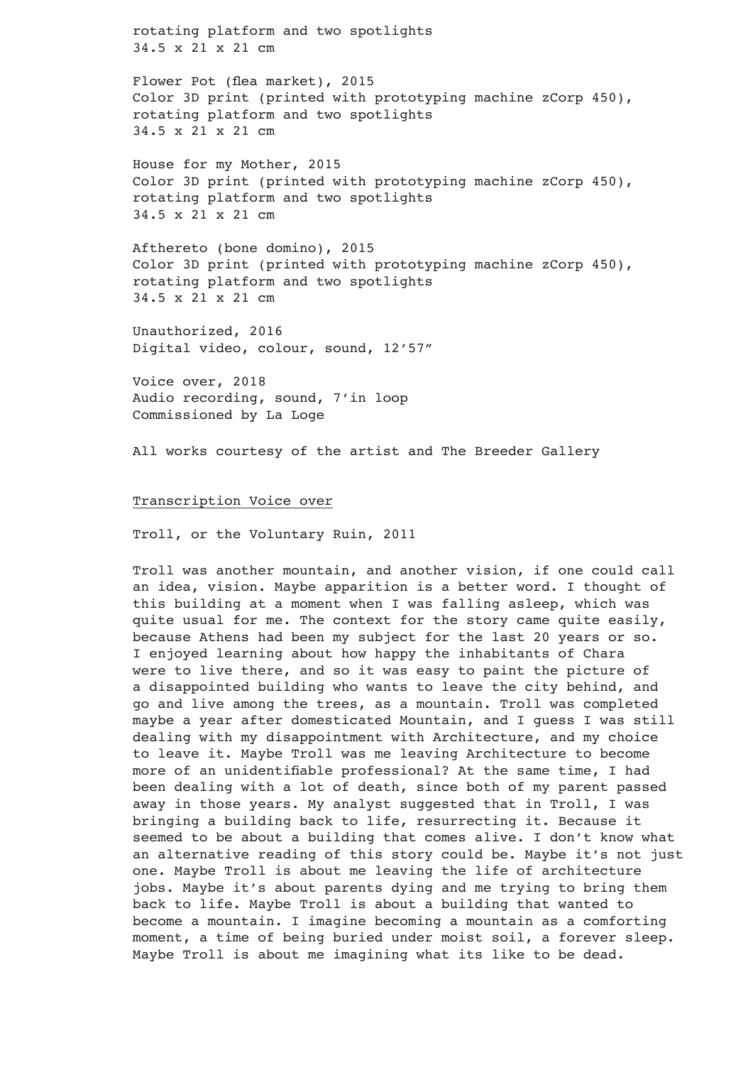rotating platform and two spotlights 34.5 x 21 x 21 cm

Flower Pot (flea market), 2015 Color 3D print (printed with prototyping machine zCorp 450), rotating platform and two spotlights 34.5 x 21 x 21 cm

House for my Mother, 2015 Color 3D print (printed with prototyping machine zCorp 450), rotating platform and two spotlights 34.5 x 21 x 21 cm

Afthereto (bone domino), 2015 Color 3D print (printed with prototyping machine zCorp 450), rotating platform and two spotlights 34.5 x 21 x 21 cm

Unauthorized, 2016 Digital video, colour, sound, 12'57"

Voice over, 2018 Audio recording, sound, 7'in loop Commissioned by La Loge

All works courtesy of the artist and The Breeder Gallery

## Transcription Voice over

Troll, or the Voluntary Ruin, 2011

Troll was another mountain, and another vision, if one could call an idea, vision. Maybe apparition is a better word. I thought of this building at a moment when I was falling asleep, which was quite usual for me. The context for the story came quite easily, because Athens had been my subject for the last 20 years or so. I enjoyed learning about how happy the inhabitants of Chara were to live there, and so it was easy to paint the picture of a disappointed building who wants to leave the city behind, and go and live among the trees, as a mountain. Troll was completed maybe a year after domesticated Mountain, and I guess I was still dealing with my disappointment with Architecture, and my choice to leave it. Maybe Troll was me leaving Architecture to become more of an unidentifiable professional? At the same time, I had been dealing with a lot of death, since both of my parent passed away in those years. My analyst suggested that in Troll, I was bringing a building back to life, resurrecting it. Because it seemed to be about a building that comes alive. I don't know what an alternative reading of this story could be. Maybe it's not just one. Maybe Troll is about me leaving the life of architecture jobs. Maybe it's about parents dying and me trying to bring them back to life. Maybe Troll is about a building that wanted to become a mountain. I imagine becoming a mountain as a comforting moment, a time of being buried under moist soil, a forever sleep. Maybe Troll is about me imagining what its like to be dead.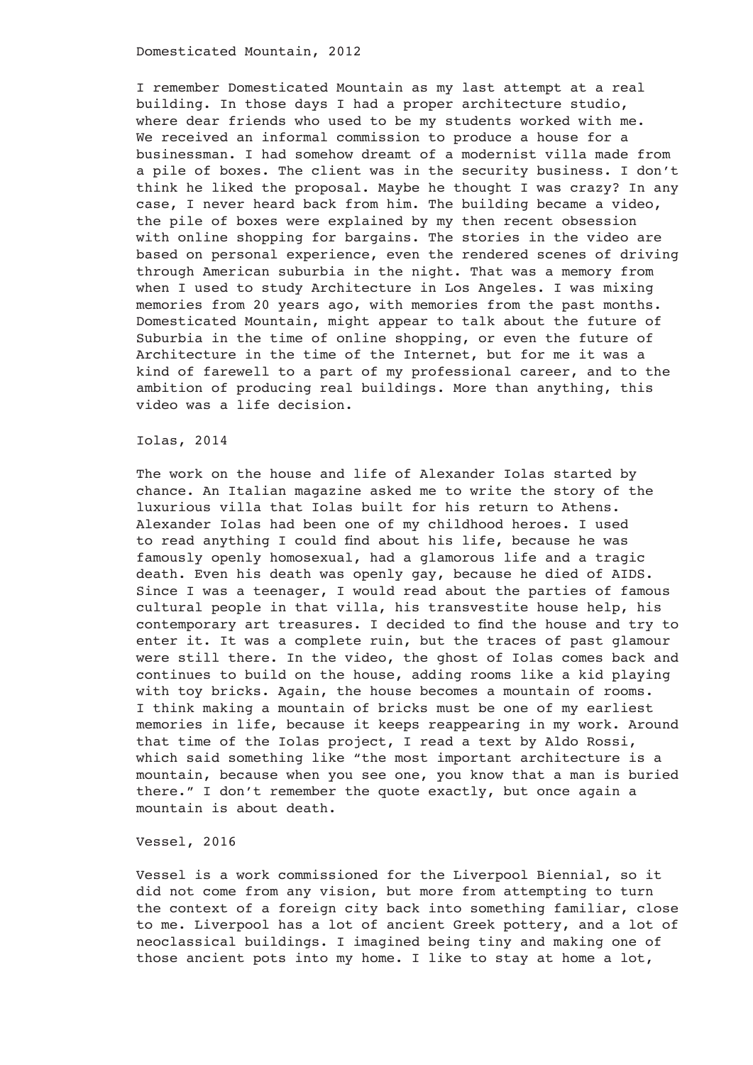Domesticated Mountain, 2012

I remember Domesticated Mountain as my last attempt at a real building. In those days I had a proper architecture studio, where dear friends who used to be my students worked with me. We received an informal commission to produce a house for a businessman. I had somehow dreamt of a modernist villa made from a pile of boxes. The client was in the security business. I don't think he liked the proposal. Maybe he thought I was crazy? In any case, I never heard back from him. The building became a video, the pile of boxes were explained by my then recent obsession with online shopping for bargains. The stories in the video are based on personal experience, even the rendered scenes of driving through American suburbia in the night. That was a memory from when I used to study Architecture in Los Angeles. I was mixing memories from 20 years ago, with memories from the past months. Domesticated Mountain, might appear to talk about the future of Suburbia in the time of online shopping, or even the future of Architecture in the time of the Internet, but for me it was a kind of farewell to a part of my professional career, and to the ambition of producing real buildings. More than anything, this video was a life decision.

Iolas, 2014

The work on the house and life of Alexander Iolas started by chance. An Italian magazine asked me to write the story of the luxurious villa that Iolas built for his return to Athens. Alexander Iolas had been one of my childhood heroes. I used to read anything I could find about his life, because he was famously openly homosexual, had a glamorous life and a tragic death. Even his death was openly gay, because he died of AIDS. Since I was a teenager, I would read about the parties of famous cultural people in that villa, his transvestite house help, his contemporary art treasures. I decided to find the house and try to enter it. It was a complete ruin, but the traces of past glamour were still there. In the video, the ghost of Iolas comes back and continues to build on the house, adding rooms like a kid playing with toy bricks. Again, the house becomes a mountain of rooms. I think making a mountain of bricks must be one of my earliest memories in life, because it keeps reappearing in my work. Around that time of the Iolas project, I read a text by Aldo Rossi, which said something like "the most important architecture is a mountain, because when you see one, you know that a man is buried there." I don't remember the quote exactly, but once again a mountain is about death.

# Vessel, 2016

Vessel is a work commissioned for the Liverpool Biennial, so it did not come from any vision, but more from attempting to turn the context of a foreign city back into something familiar, close to me. Liverpool has a lot of ancient Greek pottery, and a lot of neoclassical buildings. I imagined being tiny and making one of those ancient pots into my home. I like to stay at home a lot,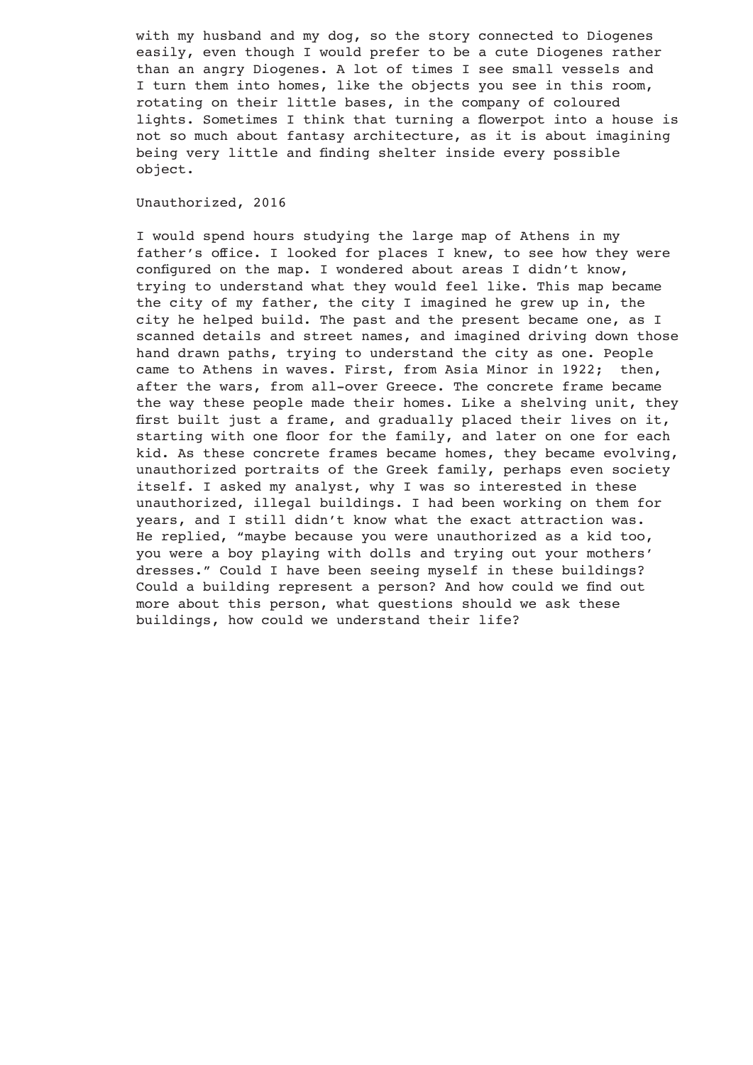with my husband and my dog, so the story connected to Diogenes easily, even though I would prefer to be a cute Diogenes rather than an angry Diogenes. A lot of times I see small vessels and I turn them into homes, like the objects you see in this room, rotating on their little bases, in the company of coloured lights. Sometimes I think that turning a flowerpot into a house is not so much about fantasy architecture, as it is about imagining being very little and finding shelter inside every possible object.

Unauthorized, 2016

I would spend hours studying the large map of Athens in my father's office. I looked for places I knew, to see how they were configured on the map. I wondered about areas I didn't know, trying to understand what they would feel like. This map became the city of my father, the city I imagined he grew up in, the city he helped build. The past and the present became one, as I scanned details and street names, and imagined driving down those hand drawn paths, trying to understand the city as one. People came to Athens in waves. First, from Asia Minor in 1922; then, after the wars, from all-over Greece. The concrete frame became the way these people made their homes. Like a shelving unit, they first built just a frame, and gradually placed their lives on it, starting with one floor for the family, and later on one for each kid. As these concrete frames became homes, they became evolving, unauthorized portraits of the Greek family, perhaps even society itself. I asked my analyst, why I was so interested in these unauthorized, illegal buildings. I had been working on them for years, and I still didn't know what the exact attraction was. He replied, "maybe because you were unauthorized as a kid too, you were a boy playing with dolls and trying out your mothers' dresses." Could I have been seeing myself in these buildings? Could a building represent a person? And how could we find out more about this person, what questions should we ask these buildings, how could we understand their life?